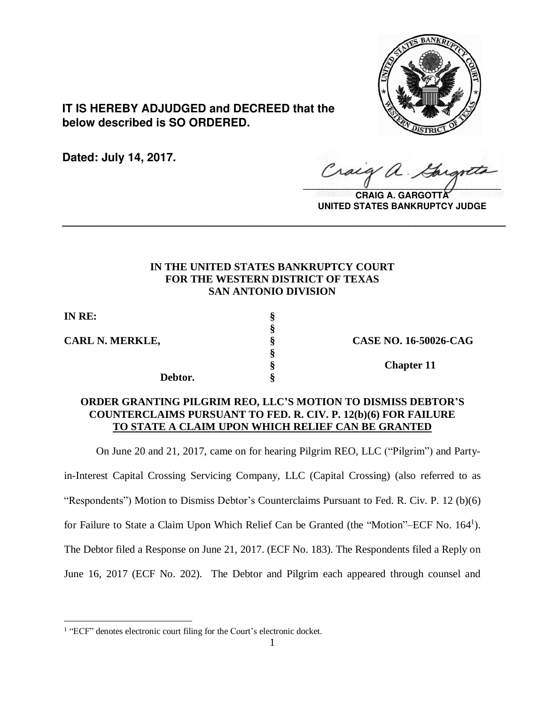

**IT IS HEREBY ADJUDGED and DECREED that the below described is SO ORDERED.**

**Dated: July 14, 2017.**

Craig a.  $\sqrt{2}$ 

**CRAIG A. GARGOTTA UNITED STATES BANKRUPTCY JUDGE**

# **IN THE UNITED STATES BANKRUPTCY COURT FOR THE WESTERN DISTRICT OF TEXAS SAN ANTONIO DIVISION**

**\_\_\_\_\_\_\_\_\_\_\_\_\_\_\_\_\_\_\_\_\_\_\_\_\_\_\_\_\_\_\_\_\_\_\_\_\_\_\_\_\_\_\_\_\_\_\_\_\_\_\_\_\_\_\_\_\_\_\_\_\_\_\_\_**

**§**

**§**

**IN RE: §**

 $\overline{a}$ 

**CARL N. MERKLE, § CASE NO. 16-50026-CAG**

**Debtor. §**

**§ Chapter 11**

# **ORDER GRANTING PILGRIM REO, LLC'S MOTION TO DISMISS DEBTOR'S COUNTERCLAIMS PURSUANT TO FED. R. CIV. P. 12(b)(6) FOR FAILURE TO STATE A CLAIM UPON WHICH RELIEF CAN BE GRANTED**

On June 20 and 21, 2017, came on for hearing Pilgrim REO, LLC ("Pilgrim") and Party-

in-Interest Capital Crossing Servicing Company, LLC (Capital Crossing) (also referred to as

"Respondents") Motion to Dismiss Debtor's Counterclaims Pursuant to Fed. R. Civ. P. 12 (b)(6)

for Failure to State a Claim Upon Which Relief Can be Granted (the "Motion"-ECF No. 164<sup>1</sup>).

The Debtor filed a Response on June 21, 2017. (ECF No. 183). The Respondents filed a Reply on

June 16, 2017 (ECF No. 202). The Debtor and Pilgrim each appeared through counsel and

<sup>&</sup>lt;sup>1</sup> "ECF" denotes electronic court filing for the Court's electronic docket.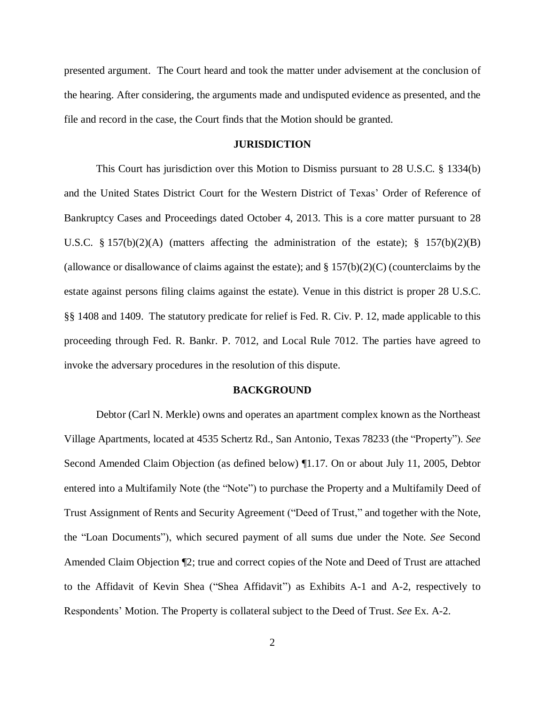presented argument. The Court heard and took the matter under advisement at the conclusion of the hearing. After considering, the arguments made and undisputed evidence as presented, and the file and record in the case, the Court finds that the Motion should be granted.

#### **JURISDICTION**

This Court has jurisdiction over this Motion to Dismiss pursuant to 28 U.S.C. § 1334(b) and the United States District Court for the Western District of Texas' Order of Reference of Bankruptcy Cases and Proceedings dated October 4, 2013. This is a core matter pursuant to 28 U.S.C. § 157(b)(2)(A) (matters affecting the administration of the estate); § 157(b)(2)(B) (allowance or disallowance of claims against the estate); and  $\S 157(b)(2)(C)$  (counterclaims by the estate against persons filing claims against the estate). Venue in this district is proper 28 U.S.C. §§ 1408 and 1409. The statutory predicate for relief is Fed. R. Civ. P. 12, made applicable to this proceeding through Fed. R. Bankr. P. 7012, and Local Rule 7012. The parties have agreed to invoke the adversary procedures in the resolution of this dispute.

#### **BACKGROUND**

Debtor (Carl N. Merkle) owns and operates an apartment complex known as the Northeast Village Apartments, located at 4535 Schertz Rd., San Antonio, Texas 78233 (the "Property"). *See* Second Amended Claim Objection (as defined below) ¶1.17. On or about July 11, 2005, Debtor entered into a Multifamily Note (the "Note") to purchase the Property and a Multifamily Deed of Trust Assignment of Rents and Security Agreement ("Deed of Trust," and together with the Note, the "Loan Documents"), which secured payment of all sums due under the Note. *See* Second Amended Claim Objection ¶2; true and correct copies of the Note and Deed of Trust are attached to the Affidavit of Kevin Shea ("Shea Affidavit") as Exhibits A-1 and A-2, respectively to Respondents' Motion. The Property is collateral subject to the Deed of Trust. *See* Ex. A-2.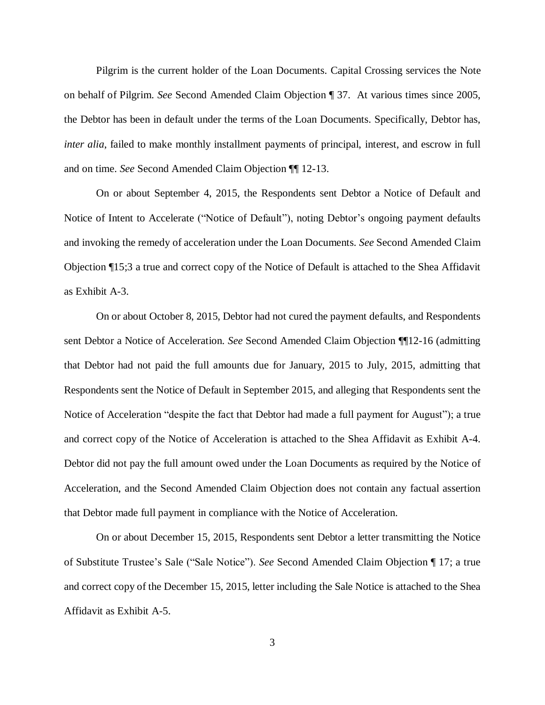Pilgrim is the current holder of the Loan Documents. Capital Crossing services the Note on behalf of Pilgrim. *See* Second Amended Claim Objection ¶ 37. At various times since 2005, the Debtor has been in default under the terms of the Loan Documents. Specifically, Debtor has, *inter alia*, failed to make monthly installment payments of principal, interest, and escrow in full and on time. *See* Second Amended Claim Objection ¶¶ 12-13.

On or about September 4, 2015, the Respondents sent Debtor a Notice of Default and Notice of Intent to Accelerate ("Notice of Default"), noting Debtor's ongoing payment defaults and invoking the remedy of acceleration under the Loan Documents. *See* Second Amended Claim Objection ¶15;3 a true and correct copy of the Notice of Default is attached to the Shea Affidavit as Exhibit A-3.

On or about October 8, 2015, Debtor had not cured the payment defaults, and Respondents sent Debtor a Notice of Acceleration. *See* Second Amended Claim Objection ¶¶12-16 (admitting that Debtor had not paid the full amounts due for January, 2015 to July, 2015, admitting that Respondents sent the Notice of Default in September 2015, and alleging that Respondents sent the Notice of Acceleration "despite the fact that Debtor had made a full payment for August"); a true and correct copy of the Notice of Acceleration is attached to the Shea Affidavit as Exhibit A-4. Debtor did not pay the full amount owed under the Loan Documents as required by the Notice of Acceleration, and the Second Amended Claim Objection does not contain any factual assertion that Debtor made full payment in compliance with the Notice of Acceleration.

On or about December 15, 2015, Respondents sent Debtor a letter transmitting the Notice of Substitute Trustee's Sale ("Sale Notice"). *See* Second Amended Claim Objection ¶ 17; a true and correct copy of the December 15, 2015, letter including the Sale Notice is attached to the Shea Affidavit as Exhibit A-5.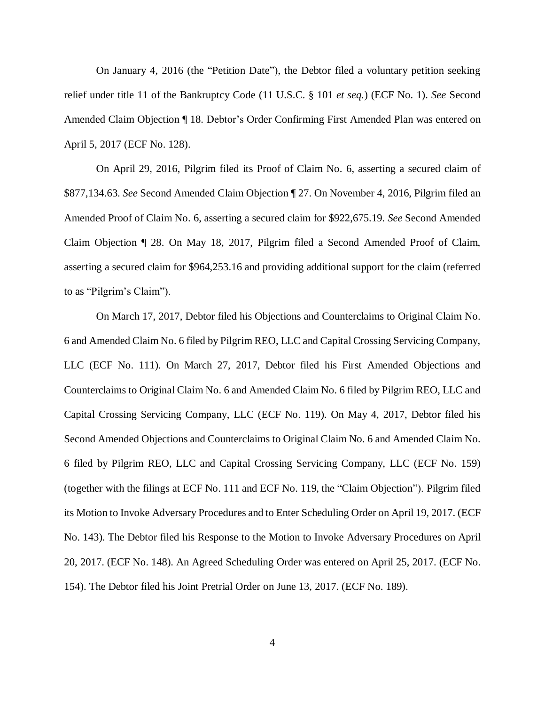On January 4, 2016 (the "Petition Date"), the Debtor filed a voluntary petition seeking relief under title 11 of the Bankruptcy Code (11 U.S.C. § 101 *et seq.*) (ECF No. 1). *See* Second Amended Claim Objection ¶ 18. Debtor's Order Confirming First Amended Plan was entered on April 5, 2017 (ECF No. 128).

On April 29, 2016, Pilgrim filed its Proof of Claim No. 6, asserting a secured claim of \$877,134.63. *See* Second Amended Claim Objection ¶ 27. On November 4, 2016, Pilgrim filed an Amended Proof of Claim No. 6, asserting a secured claim for \$922,675.19. *See* Second Amended Claim Objection ¶ 28. On May 18, 2017, Pilgrim filed a Second Amended Proof of Claim, asserting a secured claim for \$964,253.16 and providing additional support for the claim (referred to as "Pilgrim's Claim").

On March 17, 2017, Debtor filed his Objections and Counterclaims to Original Claim No. 6 and Amended Claim No. 6 filed by Pilgrim REO, LLC and Capital Crossing Servicing Company, LLC (ECF No. 111). On March 27, 2017, Debtor filed his First Amended Objections and Counterclaims to Original Claim No. 6 and Amended Claim No. 6 filed by Pilgrim REO, LLC and Capital Crossing Servicing Company, LLC (ECF No. 119). On May 4, 2017, Debtor filed his Second Amended Objections and Counterclaims to Original Claim No. 6 and Amended Claim No. 6 filed by Pilgrim REO, LLC and Capital Crossing Servicing Company, LLC (ECF No. 159) (together with the filings at ECF No. 111 and ECF No. 119, the "Claim Objection"). Pilgrim filed its Motion to Invoke Adversary Procedures and to Enter Scheduling Order on April 19, 2017. (ECF No. 143). The Debtor filed his Response to the Motion to Invoke Adversary Procedures on April 20, 2017. (ECF No. 148). An Agreed Scheduling Order was entered on April 25, 2017. (ECF No. 154). The Debtor filed his Joint Pretrial Order on June 13, 2017. (ECF No. 189).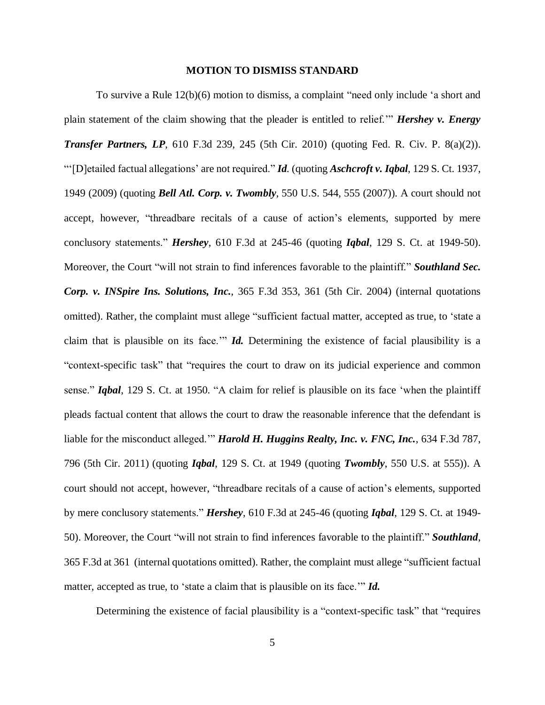#### **MOTION TO DISMISS STANDARD**

To survive a Rule 12(b)(6) motion to dismiss, a complaint "need only include 'a short and plain statement of the claim showing that the pleader is entitled to relief.'" *Hershey v. Energy Transfer Partners, LP*, 610 F.3d 239, 245 (5th Cir. 2010) (quoting Fed. R. Civ. P. 8(a)(2)). "'[D]etailed factual allegations' are not required." *Id.* (quoting *Aschcroft v. Iqbal*, 129 S. Ct. 1937, 1949 (2009) (quoting *Bell Atl. Corp. v. Twombly*, 550 U.S. 544, 555 (2007)). A court should not accept, however, "threadbare recitals of a cause of action's elements, supported by mere conclusory statements." *Hershey*, 610 F.3d at 245-46 (quoting *Iqbal*, 129 S. Ct. at 1949-50). Moreover, the Court "will not strain to find inferences favorable to the plaintiff." *Southland Sec. Corp. v. INSpire Ins. Solutions, Inc.*, 365 F.3d 353, 361 (5th Cir. 2004) (internal quotations omitted). Rather, the complaint must allege "sufficient factual matter, accepted as true, to 'state a claim that is plausible on its face.'" *Id.* Determining the existence of facial plausibility is a "context-specific task" that "requires the court to draw on its judicial experience and common sense." *Iqbal*, 129 S. Ct. at 1950. "A claim for relief is plausible on its face 'when the plaintiff pleads factual content that allows the court to draw the reasonable inference that the defendant is liable for the misconduct alleged.'" *Harold H. Huggins Realty, Inc. v. FNC, Inc.*, 634 F.3d 787, 796 (5th Cir. 2011) (quoting *Iqbal*, 129 S. Ct. at 1949 (quoting *Twombly*, 550 U.S. at 555)). A court should not accept, however, "threadbare recitals of a cause of action's elements, supported by mere conclusory statements." *Hershey*, 610 F.3d at 245-46 (quoting *Iqbal*, 129 S. Ct. at 1949- 50). Moreover, the Court "will not strain to find inferences favorable to the plaintiff." *Southland*, 365 F.3d at 361 (internal quotations omitted). Rather, the complaint must allege "sufficient factual matter, accepted as true, to 'state a claim that is plausible on its face.'" *Id.* 

Determining the existence of facial plausibility is a "context-specific task" that "requires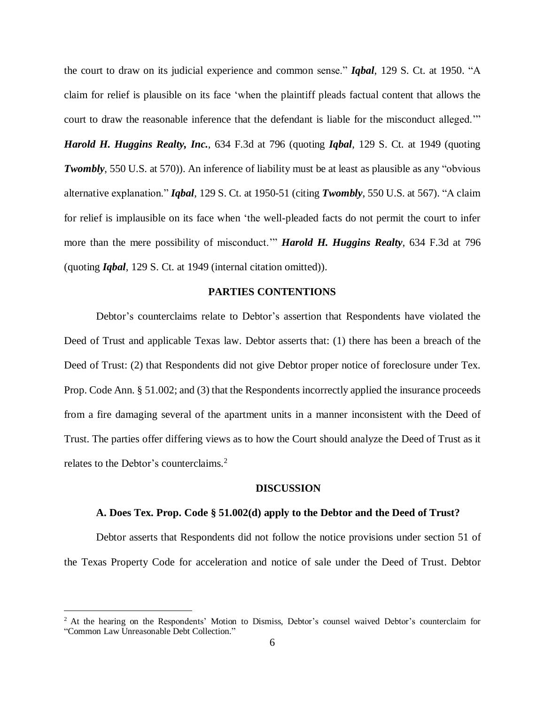the court to draw on its judicial experience and common sense." *Iqbal*, 129 S. Ct. at 1950. "A claim for relief is plausible on its face 'when the plaintiff pleads factual content that allows the court to draw the reasonable inference that the defendant is liable for the misconduct alleged.'"

*Harold H. Huggins Realty, Inc.*, 634 F.3d at 796 (quoting *Iqbal*, 129 S. Ct. at 1949 (quoting *Twombly*, 550 U.S. at 570). An inference of liability must be at least as plausible as any "obvious" alternative explanation." *Iqbal*, 129 S. Ct. at 1950-51 (citing *Twombly*, 550 U.S. at 567). "A claim for relief is implausible on its face when 'the well-pleaded facts do not permit the court to infer more than the mere possibility of misconduct.'" *Harold H. Huggins Realty*, 634 F.3d at 796 (quoting *Iqbal*, 129 S. Ct. at 1949 (internal citation omitted)).

## **PARTIES CONTENTIONS**

Debtor's counterclaims relate to Debtor's assertion that Respondents have violated the Deed of Trust and applicable Texas law. Debtor asserts that: (1) there has been a breach of the Deed of Trust: (2) that Respondents did not give Debtor proper notice of foreclosure under Tex. Prop. Code Ann. § 51.002; and (3) that the Respondents incorrectly applied the insurance proceeds from a fire damaging several of the apartment units in a manner inconsistent with the Deed of Trust. The parties offer differing views as to how the Court should analyze the Deed of Trust as it relates to the Debtor's counterclaims.<sup>2</sup>

#### **DISCUSSION**

### **A. Does Tex. Prop. Code § 51.002(d) apply to the Debtor and the Deed of Trust?**

Debtor asserts that Respondents did not follow the notice provisions under section 51 of the Texas Property Code for acceleration and notice of sale under the Deed of Trust. Debtor

<sup>&</sup>lt;sup>2</sup> At the hearing on the Respondents' Motion to Dismiss, Debtor's counsel waived Debtor's counterclaim for "Common Law Unreasonable Debt Collection."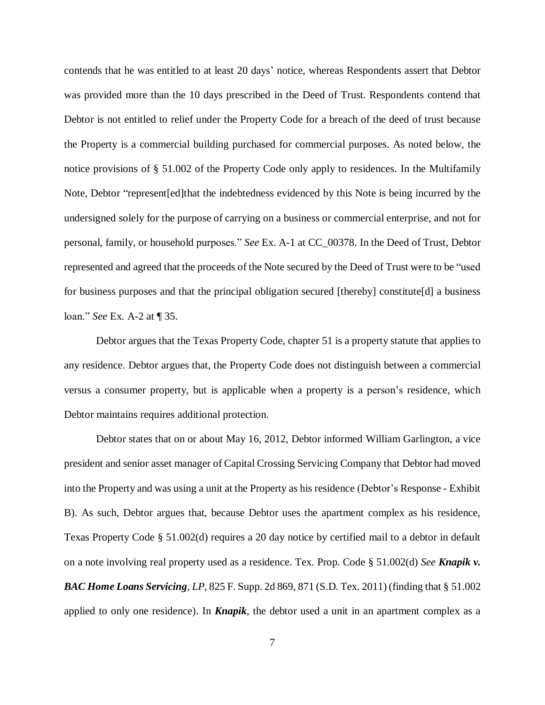contends that he was entitled to at least 20 days' notice, whereas Respondents assert that Debtor was provided more than the 10 days prescribed in the Deed of Trust. Respondents contend that Debtor is not entitled to relief under the Property Code for a breach of the deed of trust because the Property is a commercial building purchased for commercial purposes. As noted below, the notice provisions of § 51.002 of the Property Code only apply to residences. In the Multifamily Note, Debtor "represent[ed]that the indebtedness evidenced by this Note is being incurred by the undersigned solely for the purpose of carrying on a business or commercial enterprise, and not for personal, family, or household purposes." *See* Ex. A-1 at CC\_00378. In the Deed of Trust, Debtor represented and agreed that the proceeds of the Note secured by the Deed of Trust were to be "used for business purposes and that the principal obligation secured [thereby] constitute[d] a business loan." *See* Ex. A-2 at ¶ 35.

Debtor argues that the Texas Property Code, chapter 51 is a property statute that applies to any residence. Debtor argues that, the Property Code does not distinguish between a commercial versus a consumer property, but is applicable when a property is a person's residence, which Debtor maintains requires additional protection.

Debtor states that on or about May 16, 2012, Debtor informed William Garlington, a vice president and senior asset manager of Capital Crossing Servicing Company that Debtor had moved into the Property and was using a unit at the Property as his residence (Debtor's Response - Exhibit B). As such, Debtor argues that, because Debtor uses the apartment complex as his residence, Texas Property Code § 51.002(d) requires a 20 day notice by certified mail to a debtor in default on a note involving real property used as a residence. Tex. Prop. Code § 51.002(d) *See Knapik v. BAC Home Loans Servicing, LP*, 825 F. Supp. 2d 869, 871 (S.D. Tex. 2011) (finding that § 51.002 applied to only one residence). In *Knapik*, the debtor used a unit in an apartment complex as a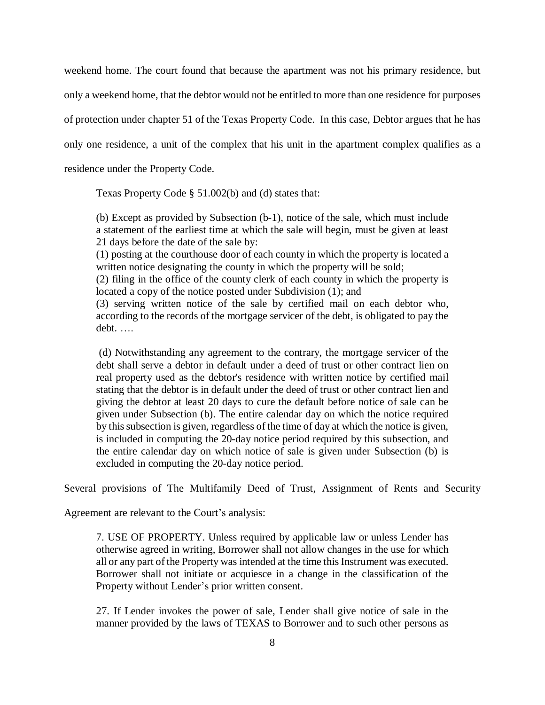weekend home. The court found that because the apartment was not his primary residence, but only a weekend home, that the debtor would not be entitled to more than one residence for purposes of protection under chapter 51 of the Texas Property Code. In this case, Debtor argues that he has only one residence, a unit of the complex that his unit in the apartment complex qualifies as a residence under the Property Code.

Texas Property Code § 51.002(b) and (d) states that:

(b) Except as provided by Subsection (b-1), notice of the sale, which must include a statement of the earliest time at which the sale will begin, must be given at least 21 days before the date of the sale by:

(1) posting at the courthouse door of each county in which the property is located a written notice designating the county in which the property will be sold;

(2) filing in the office of the county clerk of each county in which the property is located a copy of the notice posted under Subdivision (1); and

(3) serving written notice of the sale by certified mail on each debtor who, according to the records of the mortgage servicer of the debt, is obligated to pay the debt. ….

(d) Notwithstanding any agreement to the contrary, the mortgage servicer of the debt shall serve a debtor in default under a deed of trust or other contract lien on real property used as the debtor's residence with written notice by certified mail stating that the debtor is in default under the deed of trust or other contract lien and giving the debtor at least 20 days to cure the default before notice of sale can be given under Subsection (b). The entire calendar day on which the notice required by thissubsection is given, regardless of the time of day at which the notice is given, is included in computing the 20-day notice period required by this subsection, and the entire calendar day on which notice of sale is given under Subsection (b) is excluded in computing the 20-day notice period.

Several provisions of The Multifamily Deed of Trust, Assignment of Rents and Security

Agreement are relevant to the Court's analysis:

7. USE OF PROPERTY. Unless required by applicable law or unless Lender has otherwise agreed in writing, Borrower shall not allow changes in the use for which all or any part of the Property was intended at the time this Instrument was executed. Borrower shall not initiate or acquiesce in a change in the classification of the Property without Lender's prior written consent.

27. If Lender invokes the power of sale, Lender shall give notice of sale in the manner provided by the laws of TEXAS to Borrower and to such other persons as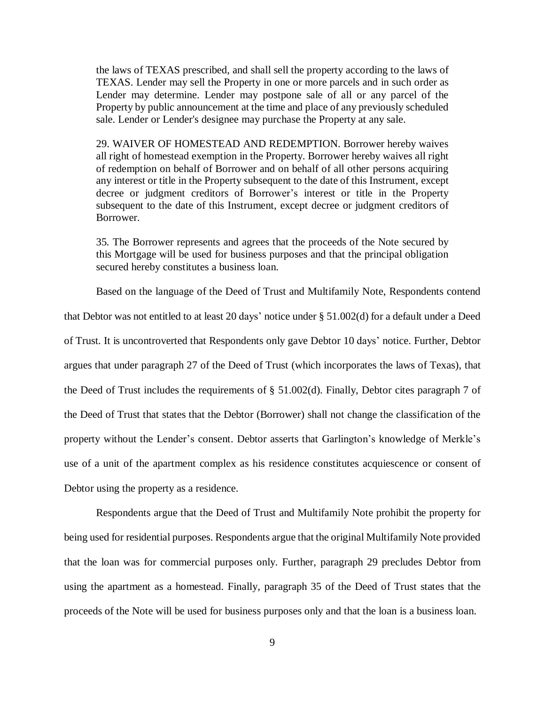the laws of TEXAS prescribed, and shall sell the property according to the laws of TEXAS. Lender may sell the Property in one or more parcels and in such order as Lender may determine. Lender may postpone sale of all or any parcel of the Property by public announcement at the time and place of any previously scheduled sale. Lender or Lender's designee may purchase the Property at any sale.

29. WAIVER OF HOMESTEAD AND REDEMPTION. Borrower hereby waives all right of homestead exemption in the Property. Borrower hereby waives all right of redemption on behalf of Borrower and on behalf of all other persons acquiring any interest or title in the Property subsequent to the date of this Instrument, except decree or judgment creditors of Borrower's interest or title in the Property subsequent to the date of this Instrument, except decree or judgment creditors of Borrower.

35*.* The Borrower represents and agrees that the proceeds of the Note secured by this Mortgage will be used for business purposes and that the principal obligation secured hereby constitutes a business loan.

Based on the language of the Deed of Trust and Multifamily Note, Respondents contend that Debtor was not entitled to at least 20 days' notice under § 51.002(d) for a default under a Deed of Trust. It is uncontroverted that Respondents only gave Debtor 10 days' notice. Further, Debtor argues that under paragraph 27 of the Deed of Trust (which incorporates the laws of Texas), that the Deed of Trust includes the requirements of § 51.002(d). Finally, Debtor cites paragraph 7 of the Deed of Trust that states that the Debtor (Borrower) shall not change the classification of the property without the Lender's consent. Debtor asserts that Garlington's knowledge of Merkle's use of a unit of the apartment complex as his residence constitutes acquiescence or consent of Debtor using the property as a residence.

Respondents argue that the Deed of Trust and Multifamily Note prohibit the property for being used for residential purposes. Respondents argue that the original Multifamily Note provided that the loan was for commercial purposes only. Further, paragraph 29 precludes Debtor from using the apartment as a homestead. Finally, paragraph 35 of the Deed of Trust states that the proceeds of the Note will be used for business purposes only and that the loan is a business loan.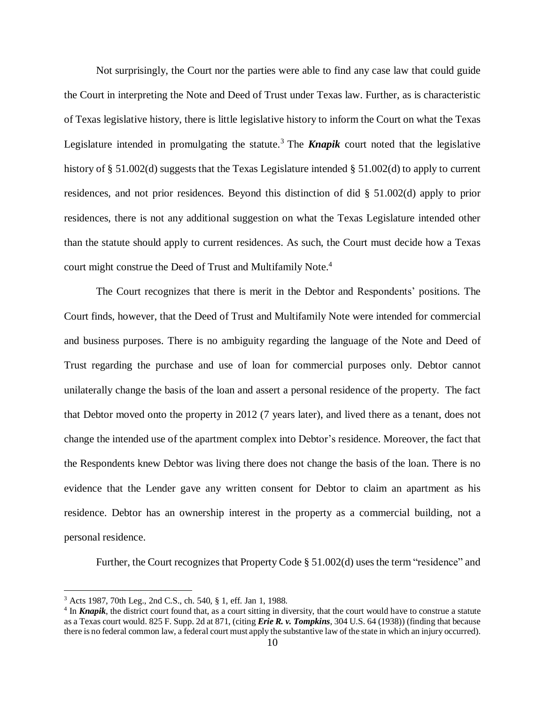Not surprisingly, the Court nor the parties were able to find any case law that could guide the Court in interpreting the Note and Deed of Trust under Texas law. Further, as is characteristic of Texas legislative history, there is little legislative history to inform the Court on what the Texas Legislature intended in promulgating the statute.<sup>3</sup> The **Knapik** court noted that the legislative history of § 51.002(d) suggests that the Texas Legislature intended § 51.002(d) to apply to current residences, and not prior residences. Beyond this distinction of did § 51.002(d) apply to prior residences, there is not any additional suggestion on what the Texas Legislature intended other than the statute should apply to current residences. As such, the Court must decide how a Texas court might construe the Deed of Trust and Multifamily Note.<sup>4</sup>

The Court recognizes that there is merit in the Debtor and Respondents' positions. The Court finds, however, that the Deed of Trust and Multifamily Note were intended for commercial and business purposes. There is no ambiguity regarding the language of the Note and Deed of Trust regarding the purchase and use of loan for commercial purposes only. Debtor cannot unilaterally change the basis of the loan and assert a personal residence of the property. The fact that Debtor moved onto the property in 2012 (7 years later), and lived there as a tenant, does not change the intended use of the apartment complex into Debtor's residence. Moreover, the fact that the Respondents knew Debtor was living there does not change the basis of the loan. There is no evidence that the Lender gave any written consent for Debtor to claim an apartment as his residence. Debtor has an ownership interest in the property as a commercial building, not a personal residence.

Further, the Court recognizes that Property Code  $\S 51.002(d)$  uses the term "residence" and

<sup>3</sup> Acts 1987, 70th Leg., 2nd C.S., ch. 540, § 1, eff. Jan 1, 1988.

<sup>&</sup>lt;sup>4</sup> In *Knapik*, the district court found that, as a court sitting in diversity, that the court would have to construe a statute as a Texas court would. 825 F. Supp. 2d at 871, (citing *Erie R. v. Tompkins*, 304 U.S. 64 (1938)) (finding that because there is no federal common law, a federal court must apply the substantive law of the state in which an injury occurred).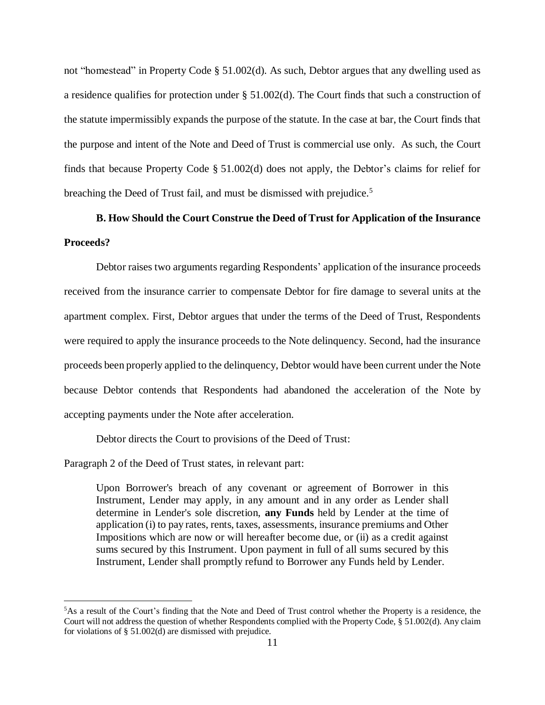not "homestead" in Property Code § 51.002(d). As such, Debtor argues that any dwelling used as a residence qualifies for protection under § 51.002(d). The Court finds that such a construction of the statute impermissibly expands the purpose of the statute. In the case at bar, the Court finds that the purpose and intent of the Note and Deed of Trust is commercial use only. As such, the Court finds that because Property Code § 51.002(d) does not apply, the Debtor's claims for relief for breaching the Deed of Trust fail, and must be dismissed with prejudice.<sup>5</sup>

# **B. How Should the Court Construe the Deed of Trust for Application of the Insurance Proceeds?**

Debtor raises two arguments regarding Respondents' application of the insurance proceeds received from the insurance carrier to compensate Debtor for fire damage to several units at the apartment complex. First, Debtor argues that under the terms of the Deed of Trust, Respondents were required to apply the insurance proceeds to the Note delinquency. Second, had the insurance proceeds been properly applied to the delinquency, Debtor would have been current under the Note because Debtor contends that Respondents had abandoned the acceleration of the Note by accepting payments under the Note after acceleration.

Debtor directs the Court to provisions of the Deed of Trust:

Paragraph 2 of the Deed of Trust states, in relevant part:

 $\overline{a}$ 

Upon Borrower's breach of any covenant or agreement of Borrower in this Instrument, Lender may apply, in any amount and in any order as Lender shall determine in Lender's sole discretion, **any Funds** held by Lender at the time of application (i) to pay rates, rents, taxes, assessments, insurance premiums and Other Impositions which are now or will hereafter become due, or (ii) as a credit against sums secured by this Instrument. Upon payment in full of all sums secured by this Instrument, Lender shall promptly refund to Borrower any Funds held by Lender.

<sup>5</sup>As a result of the Court's finding that the Note and Deed of Trust control whether the Property is a residence, the Court will not address the question of whether Respondents complied with the Property Code, § 51.002(d). Any claim for violations of § 51.002(d) are dismissed with prejudice.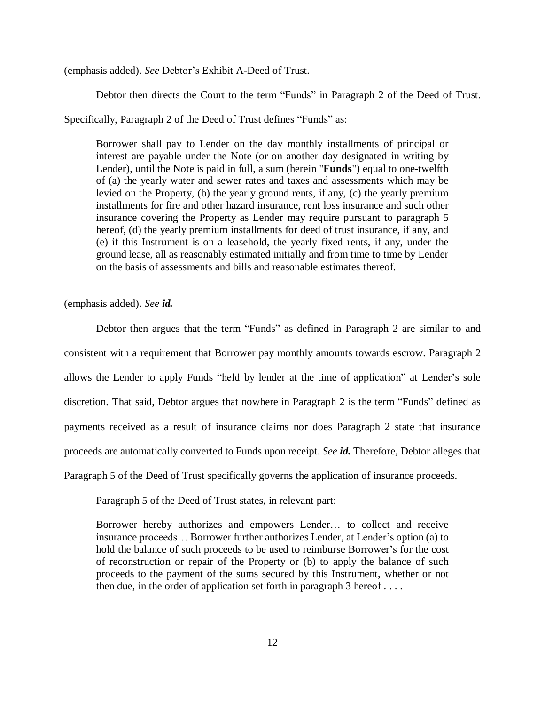(emphasis added). *See* Debtor's Exhibit A-Deed of Trust.

Debtor then directs the Court to the term "Funds" in Paragraph 2 of the Deed of Trust.

Specifically, Paragraph 2 of the Deed of Trust defines "Funds" as:

Borrower shall pay to Lender on the day monthly installments of principal or interest are payable under the Note (or on another day designated in writing by Lender), until the Note is paid in full, a sum (herein "**Funds**") equal to one-twelfth of (a) the yearly water and sewer rates and taxes and assessments which may be levied on the Property, (b) the yearly ground rents, if any, (c) the yearly premium installments for fire and other hazard insurance, rent loss insurance and such other insurance covering the Property as Lender may require pursuant to paragraph 5 hereof, (d) the yearly premium installments for deed of trust insurance, if any, and (e) if this Instrument is on a leasehold, the yearly fixed rents, if any, under the ground lease, all as reasonably estimated initially and from time to time by Lender on the basis of assessments and bills and reasonable estimates thereof.

(emphasis added). *See id.*

Debtor then argues that the term "Funds" as defined in Paragraph 2 are similar to and consistent with a requirement that Borrower pay monthly amounts towards escrow. Paragraph 2 allows the Lender to apply Funds "held by lender at the time of application" at Lender's sole discretion. That said, Debtor argues that nowhere in Paragraph 2 is the term "Funds" defined as payments received as a result of insurance claims nor does Paragraph 2 state that insurance proceeds are automatically converted to Funds upon receipt. *See id.* Therefore, Debtor alleges that Paragraph 5 of the Deed of Trust specifically governs the application of insurance proceeds.

Paragraph 5 of the Deed of Trust states, in relevant part:

Borrower hereby authorizes and empowers Lender… to collect and receive insurance proceeds… Borrower further authorizes Lender, at Lender's option (a) to hold the balance of such proceeds to be used to reimburse Borrower's for the cost of reconstruction or repair of the Property or (b) to apply the balance of such proceeds to the payment of the sums secured by this Instrument, whether or not then due, in the order of application set forth in paragraph  $3$  hereof ...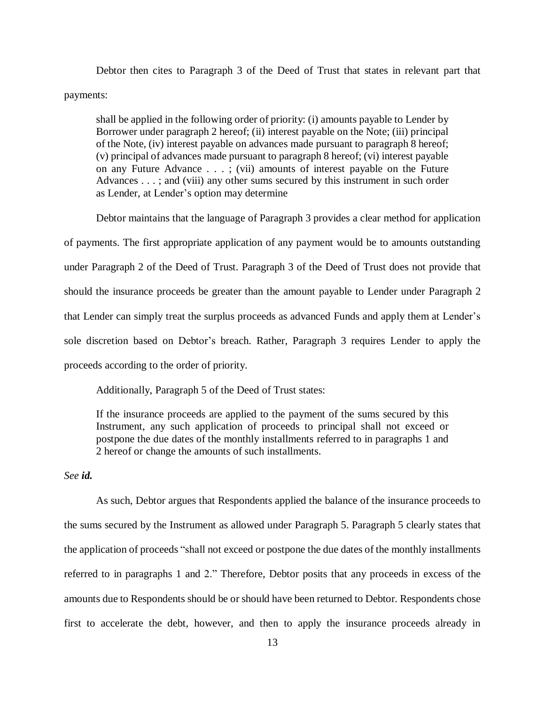Debtor then cites to Paragraph 3 of the Deed of Trust that states in relevant part that payments:

shall be applied in the following order of priority: (i) amounts payable to Lender by Borrower under paragraph 2 hereof; (ii) interest payable on the Note; (iii) principal of the Note, (iv) interest payable on advances made pursuant to paragraph 8 hereof; (v) principal of advances made pursuant to paragraph 8 hereof; (vi) interest payable on any Future Advance . . . ; (vii) amounts of interest payable on the Future Advances . . . ; and (viii) any other sums secured by this instrument in such order as Lender, at Lender's option may determine

Debtor maintains that the language of Paragraph 3 provides a clear method for application of payments. The first appropriate application of any payment would be to amounts outstanding under Paragraph 2 of the Deed of Trust. Paragraph 3 of the Deed of Trust does not provide that should the insurance proceeds be greater than the amount payable to Lender under Paragraph 2 that Lender can simply treat the surplus proceeds as advanced Funds and apply them at Lender's sole discretion based on Debtor's breach. Rather, Paragraph 3 requires Lender to apply the proceeds according to the order of priority.

Additionally, Paragraph 5 of the Deed of Trust states:

If the insurance proceeds are applied to the payment of the sums secured by this Instrument, any such application of proceeds to principal shall not exceed or postpone the due dates of the monthly installments referred to in paragraphs 1 and 2 hereof or change the amounts of such installments.

## *See id.*

As such, Debtor argues that Respondents applied the balance of the insurance proceeds to the sums secured by the Instrument as allowed under Paragraph 5. Paragraph 5 clearly states that the application of proceeds "shall not exceed or postpone the due dates of the monthly installments referred to in paragraphs 1 and 2." Therefore, Debtor posits that any proceeds in excess of the amounts due to Respondents should be or should have been returned to Debtor. Respondents chose first to accelerate the debt, however, and then to apply the insurance proceeds already in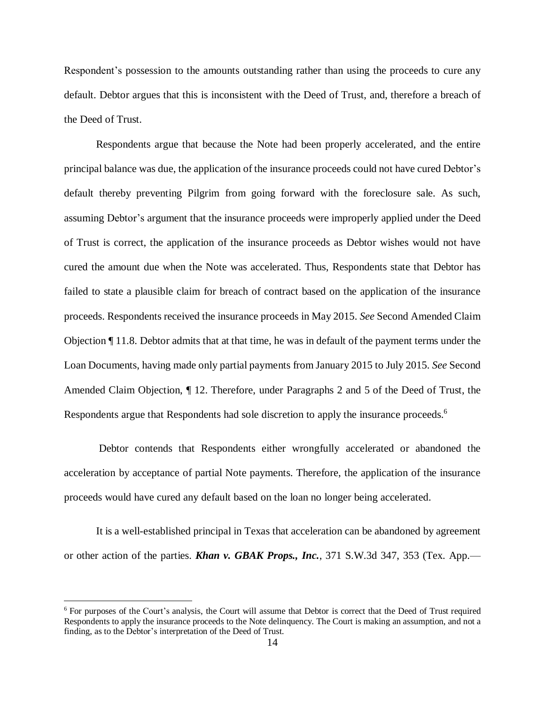Respondent's possession to the amounts outstanding rather than using the proceeds to cure any default. Debtor argues that this is inconsistent with the Deed of Trust, and, therefore a breach of the Deed of Trust.

Respondents argue that because the Note had been properly accelerated, and the entire principal balance was due, the application of the insurance proceeds could not have cured Debtor's default thereby preventing Pilgrim from going forward with the foreclosure sale. As such, assuming Debtor's argument that the insurance proceeds were improperly applied under the Deed of Trust is correct, the application of the insurance proceeds as Debtor wishes would not have cured the amount due when the Note was accelerated. Thus, Respondents state that Debtor has failed to state a plausible claim for breach of contract based on the application of the insurance proceeds. Respondents received the insurance proceeds in May 2015. *See* Second Amended Claim Objection ¶ 11.8. Debtor admits that at that time, he was in default of the payment terms under the Loan Documents, having made only partial payments from January 2015 to July 2015. *See* Second Amended Claim Objection, ¶ 12. Therefore, under Paragraphs 2 and 5 of the Deed of Trust, the Respondents argue that Respondents had sole discretion to apply the insurance proceeds.<sup>6</sup>

Debtor contends that Respondents either wrongfully accelerated or abandoned the acceleration by acceptance of partial Note payments. Therefore, the application of the insurance proceeds would have cured any default based on the loan no longer being accelerated.

It is a well-established principal in Texas that acceleration can be abandoned by agreement or other action of the parties. *Khan v. GBAK Props., Inc.*, 371 S.W.3d 347, 353 (Tex. App.—

<sup>6</sup> For purposes of the Court's analysis, the Court will assume that Debtor is correct that the Deed of Trust required Respondents to apply the insurance proceeds to the Note delinquency. The Court is making an assumption, and not a finding, as to the Debtor's interpretation of the Deed of Trust.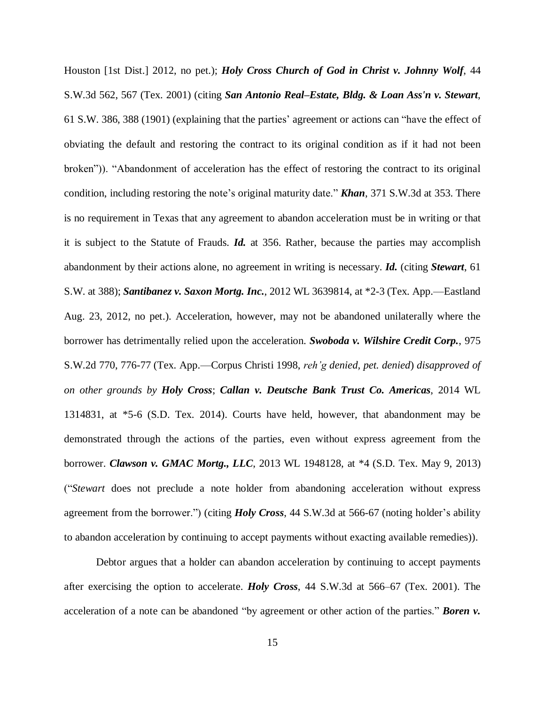Houston [1st Dist.] 2012, no pet.); *Holy Cross Church of God in Christ v. Johnny Wolf*, 44 S.W.3d 562, 567 (Tex. 2001) (citing *San Antonio Real–Estate, Bldg. & Loan Ass'n v. Stewart*, 61 S.W. 386, 388 (1901) (explaining that the parties' agreement or actions can "have the effect of obviating the default and restoring the contract to its original condition as if it had not been broken")). "Abandonment of acceleration has the effect of restoring the contract to its original condition, including restoring the note's original maturity date." *Khan*, 371 S.W.3d at 353. There is no requirement in Texas that any agreement to abandon acceleration must be in writing or that it is subject to the Statute of Frauds. *Id.* at 356. Rather, because the parties may accomplish abandonment by their actions alone, no agreement in writing is necessary. *Id.* (citing *Stewart*, 61 S.W. at 388); *Santibanez v. Saxon Mortg. Inc.*, 2012 WL 3639814, at \*2-3 (Tex. App.—Eastland Aug. 23, 2012, no pet.). Acceleration, however, may not be abandoned unilaterally where the borrower has detrimentally relied upon the acceleration. *Swoboda v. Wilshire Credit Corp.*, 975 S.W.2d 770, 776-77 (Tex. App.—Corpus Christi 1998, *reh'g denied, pet. denied*) *disapproved of on other grounds by Holy Cross*; *Callan v. Deutsche Bank Trust Co. Americas*, 2014 WL 1314831, at \*5-6 (S.D. Tex. 2014). Courts have held, however, that abandonment may be demonstrated through the actions of the parties, even without express agreement from the borrower. *Clawson v. GMAC Mortg., LLC*, 2013 WL 1948128, at \*4 (S.D. Tex. May 9, 2013) ("*Stewart* does not preclude a note holder from abandoning acceleration without express agreement from the borrower.") (citing *Holy Cross*, 44 S.W.3d at 566-67 (noting holder's ability to abandon acceleration by continuing to accept payments without exacting available remedies)).

Debtor argues that a holder can abandon acceleration by continuing to accept payments after exercising the option to accelerate. *Holy Cross*, 44 S.W.3d at 566–67 (Tex. 2001). The acceleration of a note can be abandoned "by agreement or other action of the parties." *Boren v.*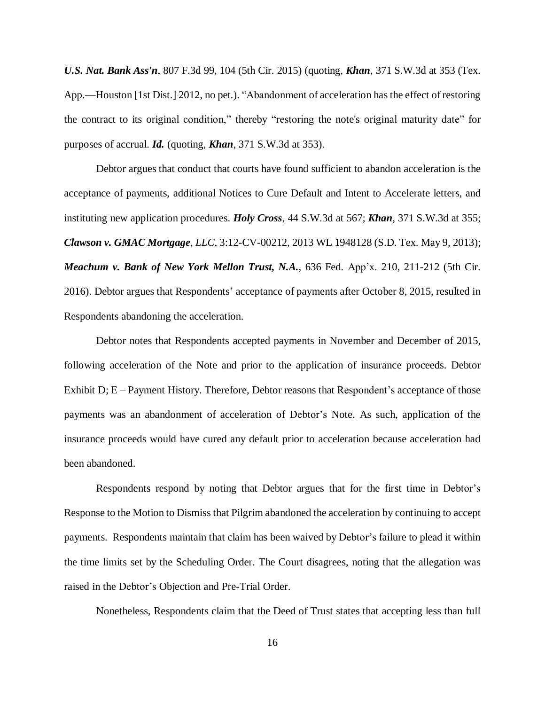*U.S. Nat. Bank Ass'n*, 807 F.3d 99, 104 (5th Cir. 2015) (quoting, *Khan*, 371 S.W.3d at 353 (Tex. App.—Houston [1st Dist.] 2012, no pet.). "Abandonment of acceleration hasthe effect of restoring the contract to its original condition," thereby "restoring the note's original maturity date" for purposes of accrual. *Id.* (quoting, *Khan*, 371 S.W.3d at 353).

Debtor argues that conduct that courts have found sufficient to abandon acceleration is the acceptance of payments, additional Notices to Cure Default and Intent to Accelerate letters, and instituting new application procedures. *Holy Cross*, 44 S.W.3d at 567; *Khan*, 371 S.W.3d at 355; *Clawson v. GMAC Mortgage*, *LLC*, 3:12-CV-00212, 2013 WL 1948128 (S.D. Tex. May 9, 2013); *Meachum v. Bank of New York Mellon Trust, N.A.*, 636 Fed. App'x. 210, 211-212 (5th Cir. 2016). Debtor argues that Respondents' acceptance of payments after October 8, 2015, resulted in Respondents abandoning the acceleration.

Debtor notes that Respondents accepted payments in November and December of 2015, following acceleration of the Note and prior to the application of insurance proceeds. Debtor Exhibit D; E – Payment History. Therefore, Debtor reasons that Respondent's acceptance of those payments was an abandonment of acceleration of Debtor's Note. As such, application of the insurance proceeds would have cured any default prior to acceleration because acceleration had been abandoned.

Respondents respond by noting that Debtor argues that for the first time in Debtor's Response to the Motion to Dismiss that Pilgrim abandoned the acceleration by continuing to accept payments. Respondents maintain that claim has been waived by Debtor's failure to plead it within the time limits set by the Scheduling Order. The Court disagrees, noting that the allegation was raised in the Debtor's Objection and Pre-Trial Order.

Nonetheless, Respondents claim that the Deed of Trust states that accepting less than full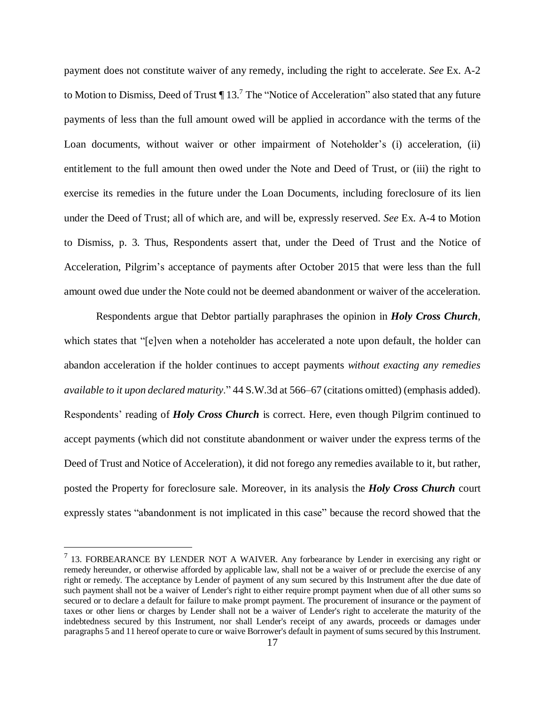payment does not constitute waiver of any remedy, including the right to accelerate. *See* Ex. A-2 to Motion to Dismiss, Deed of Trust  $\P$  13.<sup>7</sup> The "Notice of Acceleration" also stated that any future payments of less than the full amount owed will be applied in accordance with the terms of the Loan documents, without waiver or other impairment of Noteholder's (i) acceleration, (ii) entitlement to the full amount then owed under the Note and Deed of Trust, or (iii) the right to exercise its remedies in the future under the Loan Documents, including foreclosure of its lien under the Deed of Trust; all of which are, and will be, expressly reserved. *See* Ex. A-4 to Motion to Dismiss, p. 3. Thus, Respondents assert that, under the Deed of Trust and the Notice of Acceleration, Pilgrim's acceptance of payments after October 2015 that were less than the full amount owed due under the Note could not be deemed abandonment or waiver of the acceleration.

Respondents argue that Debtor partially paraphrases the opinion in *Holy Cross Church*, which states that "[e]ven when a noteholder has accelerated a note upon default, the holder can abandon acceleration if the holder continues to accept payments *without exacting any remedies available to it upon declared maturity*." 44 S.W.3d at 566–67 (citations omitted) (emphasis added). Respondents' reading of *Holy Cross Church* is correct. Here, even though Pilgrim continued to accept payments (which did not constitute abandonment or waiver under the express terms of the Deed of Trust and Notice of Acceleration), it did not forego any remedies available to it, but rather, posted the Property for foreclosure sale. Moreover, in its analysis the *Holy Cross Church* court expressly states "abandonment is not implicated in this case" because the record showed that the

<sup>&</sup>lt;sup>7</sup> 13. FORBEARANCE BY LENDER NOT A WAIVER. Any forbearance by Lender in exercising any right or remedy hereunder, or otherwise afforded by applicable law, shall not be a waiver of or preclude the exercise of any right or remedy. The acceptance by Lender of payment of any sum secured by this Instrument after the due date of such payment shall not be a waiver of Lender's right to either require prompt payment when due of all other sums so secured or to declare a default for failure to make prompt payment. The procurement of insurance or the payment of taxes or other liens or charges by Lender shall not be a waiver of Lender's right to accelerate the maturity of the indebtedness secured by this Instrument, nor shall Lender's receipt of any awards, proceeds or damages under paragraphs 5 and 11 hereof operate to cure or waive Borrower's default in payment of sums secured by this Instrument.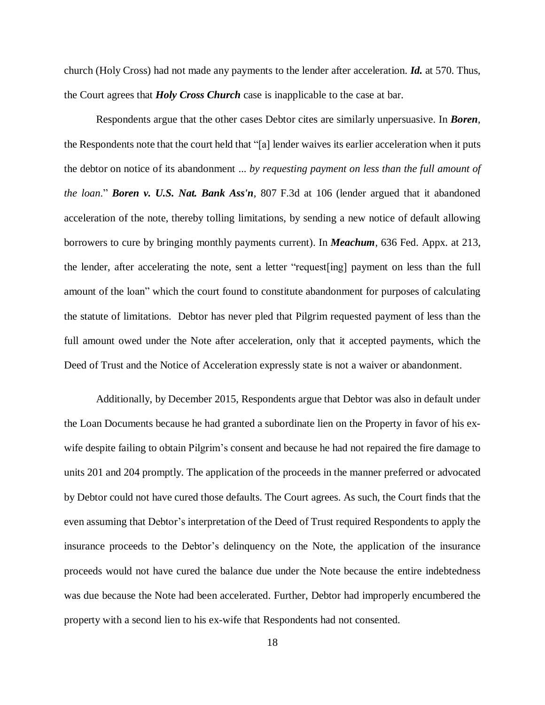church (Holy Cross) had not made any payments to the lender after acceleration. *Id.* at 570. Thus, the Court agrees that *Holy Cross Church* case is inapplicable to the case at bar.

Respondents argue that the other cases Debtor cites are similarly unpersuasive. In *Boren*, the Respondents note that the court held that "[a] lender waives its earlier acceleration when it puts the debtor on notice of its abandonment ... *by requesting payment on less than the full amount of the loan*." *Boren v. U.S. Nat. Bank Ass'n*, 807 F.3d at 106 (lender argued that it abandoned acceleration of the note, thereby tolling limitations, by sending a new notice of default allowing borrowers to cure by bringing monthly payments current). In *Meachum*, 636 Fed. Appx. at 213, the lender, after accelerating the note, sent a letter "request[ing] payment on less than the full amount of the loan" which the court found to constitute abandonment for purposes of calculating the statute of limitations. Debtor has never pled that Pilgrim requested payment of less than the full amount owed under the Note after acceleration, only that it accepted payments, which the Deed of Trust and the Notice of Acceleration expressly state is not a waiver or abandonment.

Additionally, by December 2015, Respondents argue that Debtor was also in default under the Loan Documents because he had granted a subordinate lien on the Property in favor of his exwife despite failing to obtain Pilgrim's consent and because he had not repaired the fire damage to units 201 and 204 promptly. The application of the proceeds in the manner preferred or advocated by Debtor could not have cured those defaults. The Court agrees. As such, the Court finds that the even assuming that Debtor's interpretation of the Deed of Trust required Respondents to apply the insurance proceeds to the Debtor's delinquency on the Note, the application of the insurance proceeds would not have cured the balance due under the Note because the entire indebtedness was due because the Note had been accelerated. Further, Debtor had improperly encumbered the property with a second lien to his ex-wife that Respondents had not consented.